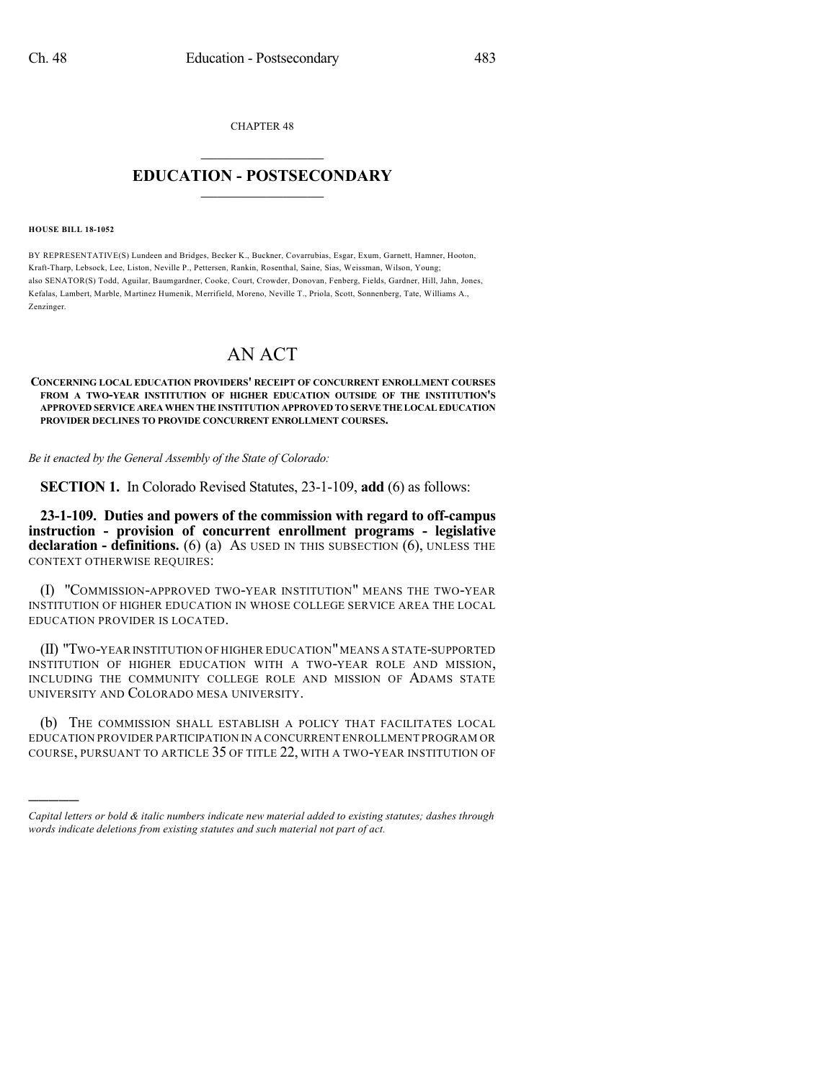CHAPTER 48

## $\overline{\phantom{a}}$  . The set of the set of the set of the set of the set of the set of the set of the set of the set of the set of the set of the set of the set of the set of the set of the set of the set of the set of the set o **EDUCATION - POSTSECONDARY**  $\_$   $\_$   $\_$   $\_$   $\_$   $\_$   $\_$   $\_$   $\_$

## **HOUSE BILL 18-1052**

)))))

BY REPRESENTATIVE(S) Lundeen and Bridges, Becker K., Buckner, Covarrubias, Esgar, Exum, Garnett, Hamner, Hooton, Kraft-Tharp, Lebsock, Lee, Liston, Neville P., Pettersen, Rankin, Rosenthal, Saine, Sias, Weissman, Wilson, Young; also SENATOR(S) Todd, Aguilar, Baumgardner, Cooke, Court, Crowder, Donovan, Fenberg, Fields, Gardner, Hill, Jahn, Jones, Kefalas, Lambert, Marble, Martinez Humenik, Merrifield, Moreno, Neville T., Priola, Scott, Sonnenberg, Tate, Williams A., Zenzinger.

## AN ACT

## **CONCERNING LOCAL EDUCATION PROVIDERS' RECEIPT OF CONCURRENT ENROLLMENT COURSES FROM A TWO-YEAR INSTITUTION OF HIGHER EDUCATION OUTSIDE OF THE INSTITUTION'S APPROVED SERVICE AREA WHEN THE INSTITUTION APPROVED TO SERVETHELOCALEDUCATION PROVIDER DECLINES TO PROVIDE CONCURRENT ENROLLMENT COURSES.**

*Be it enacted by the General Assembly of the State of Colorado:*

**SECTION 1.** In Colorado Revised Statutes, 23-1-109, **add** (6) as follows:

**23-1-109. Duties and powers of the commission with regard to off-campus instruction - provision of concurrent enrollment programs - legislative declaration - definitions.** (6) (a) AS USED IN THIS SUBSECTION (6), UNLESS THE CONTEXT OTHERWISE REQUIRES:

(I) "COMMISSION-APPROVED TWO-YEAR INSTITUTION" MEANS THE TWO-YEAR INSTITUTION OF HIGHER EDUCATION IN WHOSE COLLEGE SERVICE AREA THE LOCAL EDUCATION PROVIDER IS LOCATED.

(II) "TWO-YEAR INSTITUTION OF HIGHER EDUCATION"MEANS A STATE-SUPPORTED INSTITUTION OF HIGHER EDUCATION WITH A TWO-YEAR ROLE AND MISSION, INCLUDING THE COMMUNITY COLLEGE ROLE AND MISSION OF ADAMS STATE UNIVERSITY AND COLORADO MESA UNIVERSITY.

(b) THE COMMISSION SHALL ESTABLISH A POLICY THAT FACILITATES LOCAL EDUCATION PROVIDER PARTICIPATION IN A CONCURRENT ENROLLMENT PROGRAM OR COURSE, PURSUANT TO ARTICLE 35 OF TITLE 22, WITH A TWO-YEAR INSTITUTION OF

*Capital letters or bold & italic numbers indicate new material added to existing statutes; dashes through words indicate deletions from existing statutes and such material not part of act.*